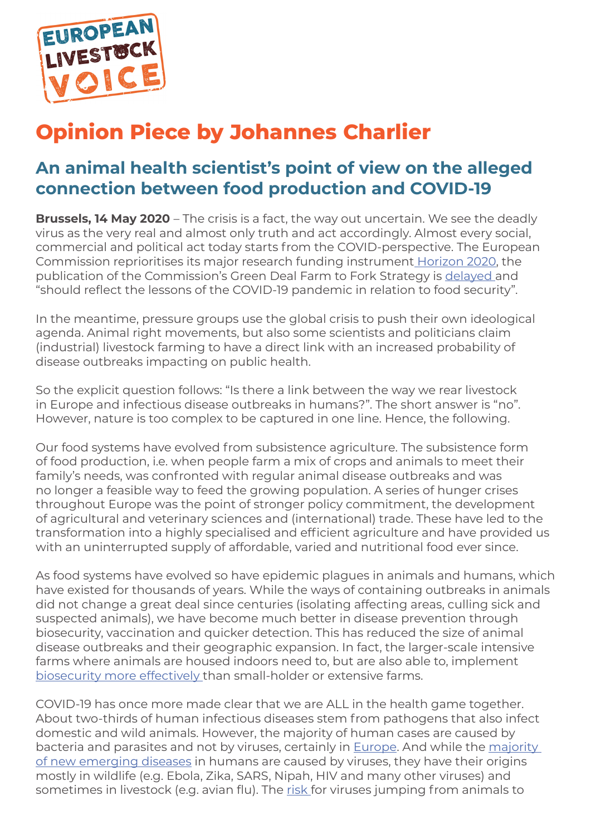

# **Opinion Piece by Johannes Charlier**

# **An animal health scientist's point of view on the alleged connection between food production and COVID-19**

**Brussels, 14 May 2020** – The crisis is a fact, the way out uncertain. We see the deadly virus as the very real and almost only truth and act accordingly. Almost every social, commercial and political act today starts from the COVID-perspective. The European Commission reprioritises its major research funding instrument Horizon 2020, the publication of the Commission's Green Deal Farm to Fork Strategy is delayed and "should reflect the lessons of the COVID-19 pandemic in relation to food security".

In the meantime, pressure groups use the global crisis to push their own ideological agenda. Animal right movements, but also some scientists and politicians claim (industrial) livestock farming to have a direct link with an increased probability of disease outbreaks impacting on public health.

So the explicit question follows: "Is there a link between the way we rear livestock in Europe and infectious disease outbreaks in humans?". The short answer is "no". However, nature is too complex to be captured in one line. Hence, the following.

Our food systems have evolved from subsistence agriculture. The subsistence form of food production, i.e. when people farm a mix of crops and animals to meet their family's needs, was confronted with regular animal disease outbreaks and was no longer a feasible way to feed the growing population. A series of hunger crises throughout Europe was the point of stronger policy commitment, the development of agricultural and veterinary sciences and (international) trade. These have led to the transformation into a highly specialised and efficient agriculture and have provided us with an uninterrupted supply of affordable, varied and nutritional food ever since.

As food systems have evolved so have epidemic plagues in animals and humans, which have existed for thousands of years. While the ways of containing outbreaks in animals did not change a great deal since centuries (isolating affecting areas, culling sick and suspected animals), we have become much better in disease prevention through biosecurity, vaccination and quicker detection. This has reduced the size of animal disease outbreaks and their geographic expansion. In fact, the larger-scale intensive farms where animals are housed indoors need to, but are also able to, implement biosecurity more effectively than small-holder or extensive farms.

COVID-19 has once more made clear that we are ALL in the health game together. About two-thirds of human infectious diseases stem from pathogens that also infect domestic and wild animals. However, the majority of human cases are caused by bacteria and parasites and not by viruses, certainly in Europe. And while the majority of new emerging diseases in humans are caused by viruses, they have their origins mostly in wildlife (e.g. Ebola, Zika, SARS, Nipah, HIV and many other viruses) and sometimes in livestock (e.g. avian flu). The risk for viruses jumping from animals to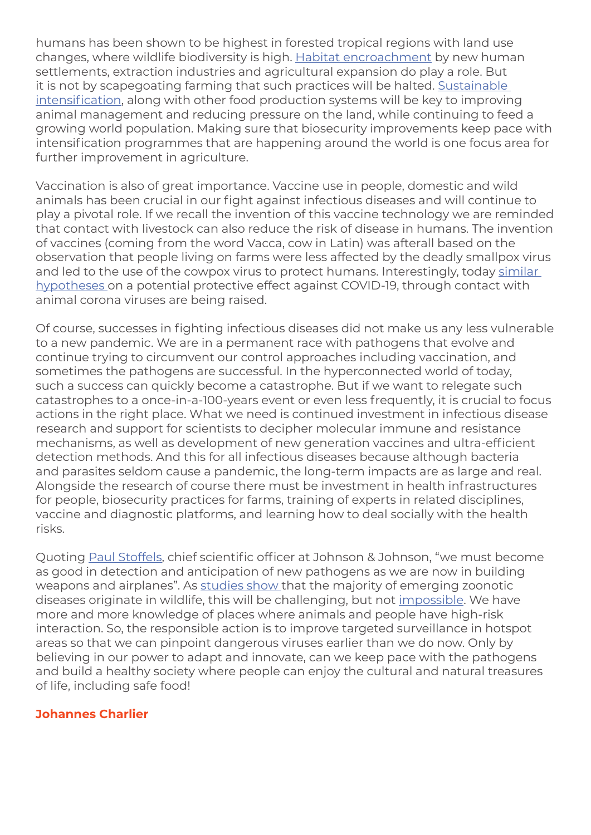humans has been shown to be highest in forested tropical regions with land use changes, where wildlife biodiversity is high. Habitat encroachment by new human settlements, extraction industries and agricultural expansion do play a role. But it is not by scapegoating farming that such practices will be halted. Sustainable intensification, along with other food production systems will be key to improving animal management and reducing pressure on the land, while continuing to feed a growing world population. Making sure that biosecurity improvements keep pace with intensification programmes that are happening around the world is one focus area for further improvement in agriculture.

Vaccination is also of great importance. Vaccine use in people, domestic and wild animals has been crucial in our fight against infectious diseases and will continue to play a pivotal role. If we recall the invention of this vaccine technology we are reminded that contact with livestock can also reduce the risk of disease in humans. The invention of vaccines (coming from the word Vacca, cow in Latin) was afterall based on the observation that people living on farms were less affected by the deadly smallpox virus and led to the use of the cowpox virus to protect humans. Interestingly, today similar hypotheses on a potential protective effect against COVID-19, through contact with animal corona viruses are being raised.

Of course, successes in fighting infectious diseases did not make us any less vulnerable to a new pandemic. We are in a permanent race with pathogens that evolve and continue trying to circumvent our control approaches including vaccination, and sometimes the pathogens are successful. In the hyperconnected world of today, such a success can quickly become a catastrophe. But if we want to relegate such catastrophes to a once-in-a-100-years event or even less frequently, it is crucial to focus actions in the right place. What we need is continued investment in infectious disease research and support for scientists to decipher molecular immune and resistance mechanisms, as well as development of new generation vaccines and ultra-efficient detection methods. And this for all infectious diseases because although bacteria and parasites seldom cause a pandemic, the long-term impacts are as large and real. Alongside the research of course there must be investment in health infrastructures for people, biosecurity practices for farms, training of experts in related disciplines, vaccine and diagnostic platforms, and learning how to deal socially with the health risks.

Quoting Paul Stoffels, chief scientific officer at Johnson & Johnson, "we must become as good in detection and anticipation of new pathogens as we are now in building weapons and airplanes". As studies show that the majority of emerging zoonotic diseases originate in wildlife, this will be challenging, but not impossible. We have more and more knowledge of places where animals and people have high-risk interaction. So, the responsible action is to improve targeted surveillance in hotspot areas so that we can pinpoint dangerous viruses earlier than we do now. Only by believing in our power to adapt and innovate, can we keep pace with the pathogens and build a healthy society where people can enjoy the cultural and natural treasures of life, including safe food!

#### **Johannes Charlier**